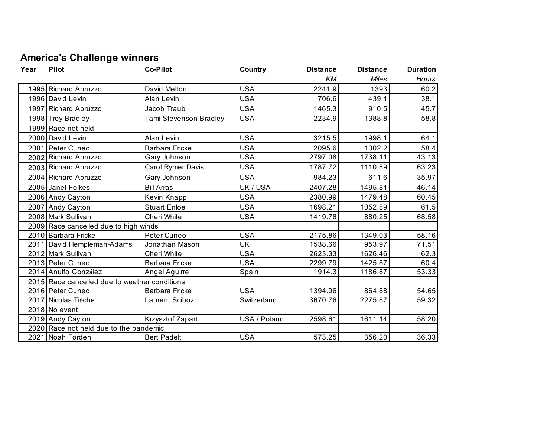## **America's Challenge winners**

| Year | <b>Pilot</b>                                  | <b>Co-Pilot</b>        | Country      | <b>Distance</b> | <b>Distance</b> | <b>Duration</b> |
|------|-----------------------------------------------|------------------------|--------------|-----------------|-----------------|-----------------|
|      |                                               |                        |              | KM              | <b>Miles</b>    | Hours           |
|      | 1995 Richard Abruzzo                          | David Melton           | <b>USA</b>   | 2241.9          | 1393            | 60.2            |
|      | 1996 David Levin                              | Alan Levin             | <b>USA</b>   | 706.6           | 439.1           | 38.1            |
|      | 1997 Richard Abruzzo                          | Jacob Traub            | <b>USA</b>   | 1465.3          | 910.5           | 45.7            |
|      | 1998 Troy Bradley                             | Tami Stevenson-Bradley | <b>USA</b>   | 2234.9          | 1388.8          | 58.8            |
|      | 1999 Race not held                            |                        |              |                 |                 |                 |
|      | 2000 David Levin                              | Alan Levin             | <b>USA</b>   | 3215.5          | 1998.1          | 64.1            |
|      | 2001 Peter Cuneo                              | <b>Barbara Fricke</b>  | <b>USA</b>   | 2095.6          | 1302.2          | 58.4            |
|      | 2002 Richard Abruzzo                          | Gary Johnson           | <b>USA</b>   | 2797.08         | 1738.11         | 43.13           |
|      | 2003 Richard Abruzzo                          | Carol Rymer Davis      | <b>USA</b>   | 1787.72         | 1110.89         | 63.23           |
|      | 2004 Richard Abruzzo                          | Gary Johnson           | <b>USA</b>   | 984.23          | 611.6           | 35.97           |
|      | 2005 Janet Folkes                             | <b>Bill Arras</b>      | UK / USA     | 2407.28         | 1495.81         | 46.14           |
|      | 2006 Andy Cayton                              | Kevin Knapp            | <b>USA</b>   | 2380.99         | 1479.48         | 60.45           |
|      | 2007 Andy Cayton                              | <b>Stuart Enloe</b>    | <b>USA</b>   | 1698.21         | 1052.89         | 61.5            |
|      | 2008 Mark Sullivan                            | Cheri White            | <b>USA</b>   | 1419.76         | 880.25          | 68.58           |
|      | 2009 Race cancelled due to high winds         |                        |              |                 |                 |                 |
|      | 2010 Barbara Fricke                           | Peter Cuneo            | <b>USA</b>   | 2175.86         | 1349.03         | 58.16           |
|      | 2011 David Hempleman-Adams                    | Jonathan Mason         | <b>UK</b>    | 1538.66         | 953.97          | 71.51           |
|      | 2012 Mark Sullivan                            | Cheri White            | <b>USA</b>   | 2623.33         | 1626.46         | 62.3            |
|      | 2013 Peter Cuneo                              | Barbara Fricke         | <b>USA</b>   | 2299.79         | 1425.87         | 60.4            |
|      | 2014 Anulfo González                          | Angel Aguirre          | Spain        | 1914.3          | 1186.87         | 53.33           |
|      | 2015 Race cancelled due to weather conditions |                        |              |                 |                 |                 |
|      | 2016 Peter Cuneo                              | Barbara Fricke         | <b>USA</b>   | 1394.96         | 864.88          | 54.65           |
|      | 2017 Nicolas Tièche                           | Laurent Sciboz         | Switzerland  | 3670.76         | 2275.87         | 59.32           |
|      | 2018 No event                                 |                        |              |                 |                 |                 |
|      | 2019 Andy Cayton                              | Krzysztof Zapart       | USA / Poland | 2598.61         | 1611.14         | 58.20           |
|      | 2020 Race not held due to the pandemic        |                        |              |                 |                 |                 |
|      | 2021 Noah Forden                              | <b>Bert Padelt</b>     | <b>USA</b>   | 573.25          | 356.20          | 36.33           |